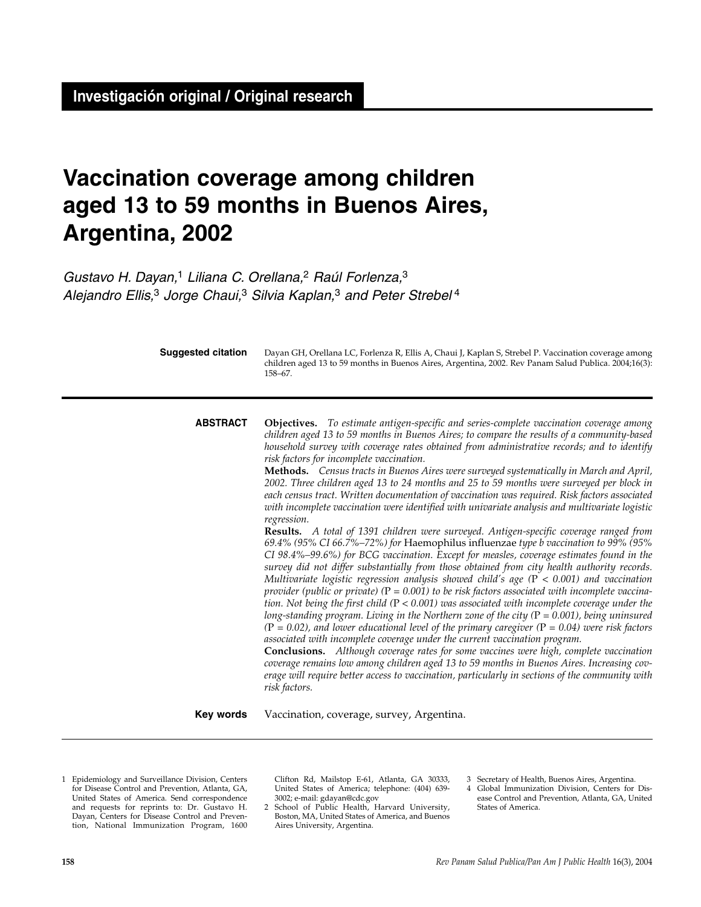# **Vaccination coverage among children aged 13 to 59 months in Buenos Aires, Argentina, 2002**

*Gustavo H. Dayan,*<sup>1</sup> *Liliana C. Orellana,*<sup>2</sup> *Raúl Forlenza,*<sup>3</sup> *Alejandro Ellis,*<sup>3</sup> *Jorge Chaui,*<sup>3</sup> *Silvia Kaplan,*<sup>3</sup> *and Peter Strebel* <sup>4</sup>

**Objectives.** *To estimate antigen-specific and series-complete vaccination coverage among children aged 13 to 59 months in Buenos Aires; to compare the results of a community-based household survey with coverage rates obtained from administrative records; and to identify risk factors for incomplete vaccination.* **Methods.** *Census tracts in Buenos Aires were surveyed systematically in March and April, 2002. Three children aged 13 to 24 months and 25 to 59 months were surveyed per block in each census tract. Written documentation of vaccination was required. Risk factors associated with incomplete vaccination were identified with univariate analysis and multivariate logistic regression.* **Results.** *A total of 1391 children were surveyed. Antigen-specific coverage ranged from 69.4% (95% CI 66.7%–72%) for* Haemophilus influenzae *type b vaccination to 99% (95% CI 98.4%–99.6%) for BCG vaccination. Except for measles, coverage estimates found in the survey did not differ substantially from those obtained from city health authority records. Multivariate logistic regression analysis showed child's age (*P < *0.001) and vaccination provider (public or private) (*P *= 0.001) to be risk factors associated with incomplete vaccination. Not being the first child (*P < *0.001) was associated with incomplete coverage under the long-standing program. Living in the Northern zone of the city (*P *= 0.001), being uninsured (*P *= 0.02), and lower educational level of the primary caregiver (*P *= 0.04) were risk factors associated with incomplete coverage under the current vaccination program.*  **Conclusions.** *Although coverage rates for some vaccines were high, complete vaccination coverage remains low among children aged 13 to 59 months in Buenos Aires. Increasing coverage will require better access to vaccination, particularly in sections of the community with risk factors.* **ABSTRACT** Dayan GH, Orellana LC, Forlenza R, Ellis A, Chaui J, Kaplan S, Strebel P. Vaccination coverage among children aged 13 to 59 months in Buenos Aires, Argentina, 2002. Rev Panam Salud Publica. 2004;16(3): 158–67. **Suggested citation**

Vaccination, coverage, survey, Argentina. **Key words**

1 Epidemiology and Surveillance Division, Centers for Disease Control and Prevention, Atlanta, GA, United States of America. Send correspondence and requests for reprints to: Dr. Gustavo H. Dayan, Centers for Disease Control and Prevention, National Immunization Program, 1600 Clifton Rd, Mailstop E-61, Atlanta, GA 30333, United States of America; telephone: (404) 639- 3002; e-mail: gdayan@cdc.gov

2 School of Public Health, Harvard University, Boston, MA, United States of America, and Buenos Aires University, Argentina.

3 Secretary of Health, Buenos Aires, Argentina.

Global Immunization Division, Centers for Disease Control and Prevention, Atlanta, GA, United States of America.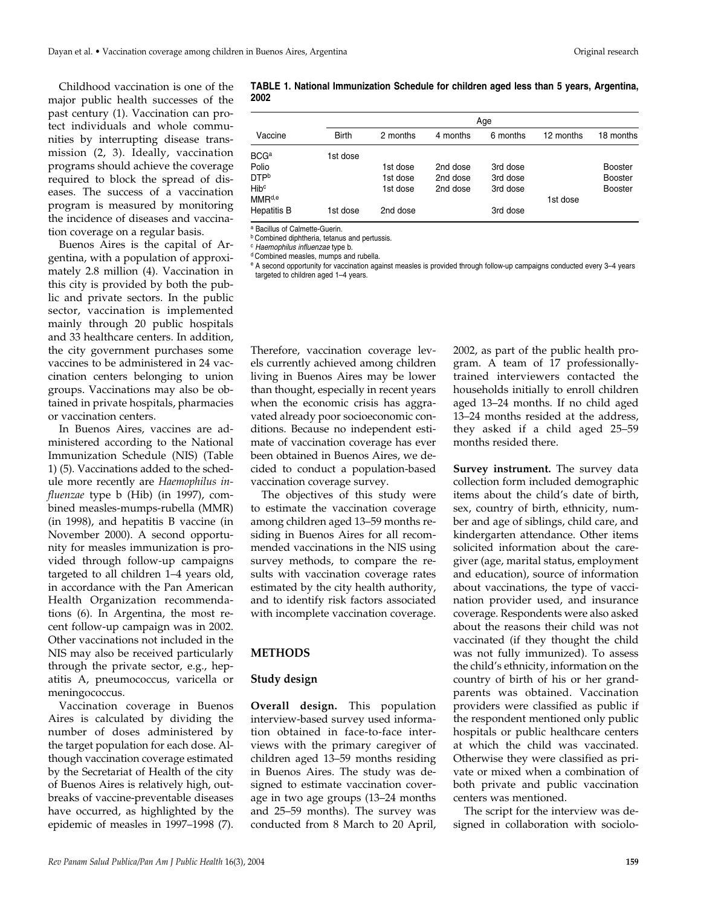Childhood vaccination is one of the major public health successes of the past century (1). Vaccination can protect individuals and whole communities by interrupting disease transmission (2, 3). Ideally, vaccination programs should achieve the coverage required to block the spread of diseases. The success of a vaccination program is measured by monitoring the incidence of diseases and vaccination coverage on a regular basis.

Buenos Aires is the capital of Argentina, with a population of approximately 2.8 million (4). Vaccination in this city is provided by both the public and private sectors. In the public sector, vaccination is implemented mainly through 20 public hospitals and 33 healthcare centers. In addition, the city government purchases some vaccines to be administered in 24 vaccination centers belonging to union groups. Vaccinations may also be obtained in private hospitals, pharmacies or vaccination centers.

In Buenos Aires, vaccines are administered according to the National Immunization Schedule (NIS) (Table 1) (5). Vaccinations added to the schedule more recently are *Haemophilus influenzae* type b (Hib) (in 1997), combined measles-mumps-rubella (MMR) (in 1998), and hepatitis B vaccine (in November 2000). A second opportunity for measles immunization is provided through follow-up campaigns targeted to all children 1–4 years old, in accordance with the Pan American Health Organization recommendations (6). In Argentina, the most recent follow-up campaign was in 2002. Other vaccinations not included in the NIS may also be received particularly through the private sector, e.g., hepatitis A, pneumococcus, varicella or meningococcus.

Vaccination coverage in Buenos Aires is calculated by dividing the number of doses administered by the target population for each dose. Although vaccination coverage estimated by the Secretariat of Health of the city of Buenos Aires is relatively high, outbreaks of vaccine-preventable diseases have occurred, as highlighted by the epidemic of measles in 1997–1998 (7).

**TABLE 1. National Immunization Schedule for children aged less than 5 years, Argentina, 2002**

|                    |              | Age      |          |          |           |                |  |  |  |  |  |
|--------------------|--------------|----------|----------|----------|-----------|----------------|--|--|--|--|--|
| Vaccine            | <b>Birth</b> | 2 months | 4 months | 6 months | 12 months | 18 months      |  |  |  |  |  |
| $BCG^a$            | 1st dose     |          |          |          |           |                |  |  |  |  |  |
| Polio              |              | 1st dose | 2nd dose | 3rd dose |           | <b>Booster</b> |  |  |  |  |  |
| DTP <sup>b</sup>   |              | 1st dose | 2nd dose | 3rd dose |           | <b>Booster</b> |  |  |  |  |  |
| Hib <sup>c</sup>   |              | 1st dose | 2nd dose | 3rd dose |           | <b>Booster</b> |  |  |  |  |  |
| MMR <sup>d,e</sup> |              |          |          |          | 1st dose  |                |  |  |  |  |  |
| Hepatitis B        | 1st dose     | 2nd dose |          | 3rd dose |           |                |  |  |  |  |  |
|                    |              |          |          |          |           |                |  |  |  |  |  |

<sup>a</sup> Bacillus of Calmette-Guerin.

**b** Combined diphtheria, tetanus and pertussis.

<sup>c</sup> *Haemophilus influenzae* type b.

<sup>d</sup> Combined measles, mumps and rubella.

<sup>e</sup> A second opportunity for vaccination against measles is provided through follow-up campaigns conducted every 3–4 years targeted to children aged 1–4 years.

Therefore, vaccination coverage levels currently achieved among children living in Buenos Aires may be lower than thought, especially in recent years when the economic crisis has aggravated already poor socioeconomic conditions. Because no independent estimate of vaccination coverage has ever been obtained in Buenos Aires, we decided to conduct a population-based vaccination coverage survey.

The objectives of this study were to estimate the vaccination coverage among children aged 13–59 months residing in Buenos Aires for all recommended vaccinations in the NIS using survey methods, to compare the results with vaccination coverage rates estimated by the city health authority, and to identify risk factors associated with incomplete vaccination coverage.

#### **METHODS**

#### **Study design**

**Overall design.** This population interview-based survey used information obtained in face-to-face interviews with the primary caregiver of children aged 13–59 months residing in Buenos Aires. The study was designed to estimate vaccination coverage in two age groups (13–24 months and 25–59 months). The survey was conducted from 8 March to 20 April,

2002, as part of the public health program. A team of 17 professionallytrained interviewers contacted the households initially to enroll children aged 13–24 months. If no child aged 13–24 months resided at the address, they asked if a child aged 25–59 months resided there.

**Survey instrument.** The survey data collection form included demographic items about the child's date of birth, sex, country of birth, ethnicity, number and age of siblings, child care, and kindergarten attendance. Other items solicited information about the caregiver (age, marital status, employment and education), source of information about vaccinations, the type of vaccination provider used, and insurance coverage. Respondents were also asked about the reasons their child was not vaccinated (if they thought the child was not fully immunized). To assess the child's ethnicity, information on the country of birth of his or her grandparents was obtained. Vaccination providers were classified as public if the respondent mentioned only public hospitals or public healthcare centers at which the child was vaccinated. Otherwise they were classified as private or mixed when a combination of both private and public vaccination centers was mentioned.

The script for the interview was designed in collaboration with sociolo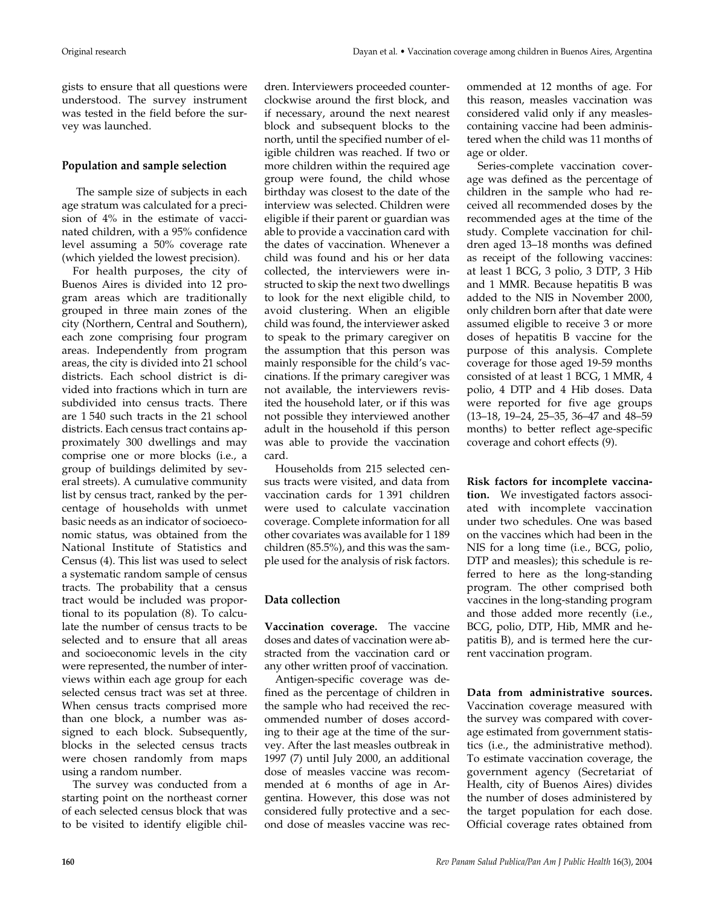gists to ensure that all questions were understood. The survey instrument was tested in the field before the survey was launched.

## **Population and sample selection**

The sample size of subjects in each age stratum was calculated for a precision of 4% in the estimate of vaccinated children, with a 95% confidence level assuming a 50% coverage rate (which yielded the lowest precision).

For health purposes, the city of Buenos Aires is divided into 12 program areas which are traditionally grouped in three main zones of the city (Northern, Central and Southern), each zone comprising four program areas. Independently from program areas, the city is divided into 21 school districts. Each school district is divided into fractions which in turn are subdivided into census tracts. There are 1 540 such tracts in the 21 school districts. Each census tract contains approximately 300 dwellings and may comprise one or more blocks (i.e., a group of buildings delimited by several streets). A cumulative community list by census tract, ranked by the percentage of households with unmet basic needs as an indicator of socioeconomic status, was obtained from the National Institute of Statistics and Census (4). This list was used to select a systematic random sample of census tracts. The probability that a census tract would be included was proportional to its population (8). To calculate the number of census tracts to be selected and to ensure that all areas and socioeconomic levels in the city were represented, the number of interviews within each age group for each selected census tract was set at three. When census tracts comprised more than one block, a number was assigned to each block. Subsequently, blocks in the selected census tracts were chosen randomly from maps using a random number.

The survey was conducted from a starting point on the northeast corner of each selected census block that was to be visited to identify eligible children. Interviewers proceeded counterclockwise around the first block, and if necessary, around the next nearest block and subsequent blocks to the north, until the specified number of eligible children was reached. If two or more children within the required age group were found, the child whose birthday was closest to the date of the interview was selected. Children were eligible if their parent or guardian was able to provide a vaccination card with the dates of vaccination. Whenever a child was found and his or her data collected, the interviewers were instructed to skip the next two dwellings to look for the next eligible child, to avoid clustering. When an eligible child was found, the interviewer asked to speak to the primary caregiver on the assumption that this person was mainly responsible for the child's vaccinations. If the primary caregiver was not available, the interviewers revisited the household later, or if this was not possible they interviewed another adult in the household if this person was able to provide the vaccination card.

Households from 215 selected census tracts were visited, and data from vaccination cards for 1 391 children were used to calculate vaccination coverage. Complete information for all other covariates was available for 1 189 children (85.5%), and this was the sample used for the analysis of risk factors.

# **Data collection**

**Vaccination coverage.** The vaccine doses and dates of vaccination were abstracted from the vaccination card or any other written proof of vaccination.

Antigen-specific coverage was defined as the percentage of children in the sample who had received the recommended number of doses according to their age at the time of the survey. After the last measles outbreak in 1997 (7) until July 2000, an additional dose of measles vaccine was recommended at 6 months of age in Argentina. However, this dose was not considered fully protective and a second dose of measles vaccine was reccontaining vaccine had been administered when the child was 11 months of

age or older. Series-complete vaccination coverage was defined as the percentage of children in the sample who had received all recommended doses by the recommended ages at the time of the study. Complete vaccination for children aged 13–18 months was defined as receipt of the following vaccines: at least 1 BCG, 3 polio, 3 DTP, 3 Hib and 1 MMR. Because hepatitis B was added to the NIS in November 2000, only children born after that date were assumed eligible to receive 3 or more doses of hepatitis B vaccine for the purpose of this analysis. Complete coverage for those aged 19-59 months consisted of at least 1 BCG, 1 MMR, 4 polio, 4 DTP and 4 Hib doses. Data were reported for five age groups (13–18, 19–24, 25–35, 36–47 and 48–59 months) to better reflect age-specific coverage and cohort effects (9).

# **Risk factors for incomplete vaccina-**

**tion.** We investigated factors associated with incomplete vaccination under two schedules. One was based on the vaccines which had been in the NIS for a long time (i.e., BCG, polio, DTP and measles); this schedule is referred to here as the long-standing program. The other comprised both vaccines in the long-standing program and those added more recently (i.e., BCG, polio, DTP, Hib, MMR and hepatitis B), and is termed here the current vaccination program.

**Data from administrative sources.** Vaccination coverage measured with the survey was compared with coverage estimated from government statistics (i.e., the administrative method). To estimate vaccination coverage, the government agency (Secretariat of Health, city of Buenos Aires) divides the number of doses administered by the target population for each dose. Official coverage rates obtained from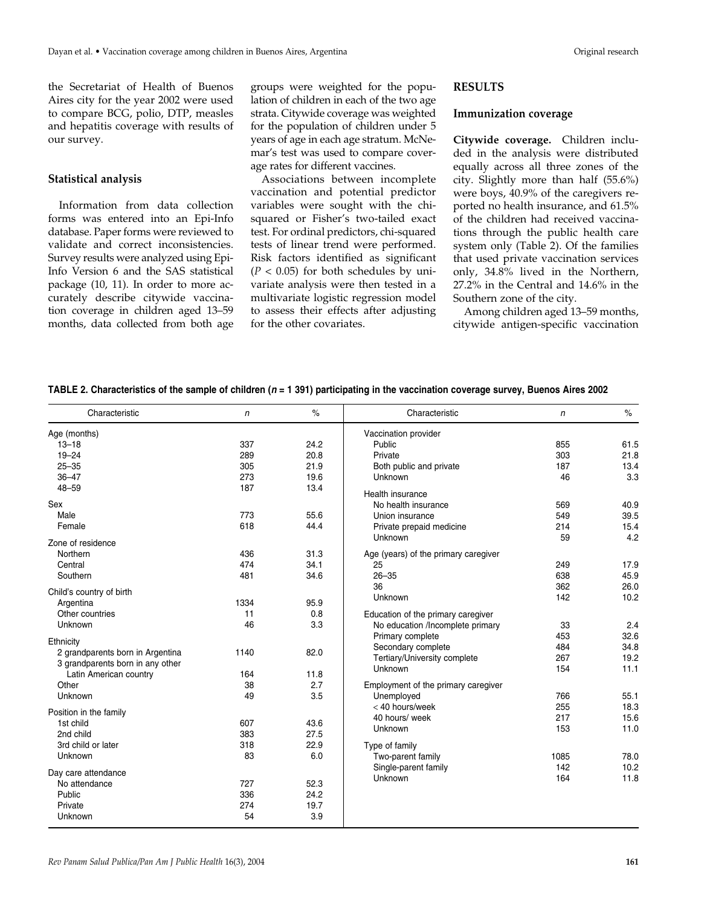the Secretariat of Health of Buenos Aires city for the year 2002 were used to compare BCG, polio, DTP, measles and hepatitis coverage with results of our survey.

### **Statistical analysis**

Information from data collection forms was entered into an Epi-Info database. Paper forms were reviewed to validate and correct inconsistencies. Survey results were analyzed using Epi-Info Version 6 and the SAS statistical package (10, 11). In order to more accurately describe citywide vaccination coverage in children aged 13–59 months, data collected from both age groups were weighted for the population of children in each of the two age strata. Citywide coverage was weighted for the population of children under 5 years of age in each age stratum. McNemar's test was used to compare coverage rates for different vaccines.

Associations between incomplete vaccination and potential predictor variables were sought with the chisquared or Fisher's two-tailed exact test. For ordinal predictors, chi-squared tests of linear trend were performed. Risk factors identified as significant  $(P < 0.05)$  for both schedules by univariate analysis were then tested in a multivariate logistic regression model to assess their effects after adjusting for the other covariates.

## **RESULTS**

### **Immunization coverage**

**Citywide coverage.** Children included in the analysis were distributed equally across all three zones of the city. Slightly more than half (55.6%) were boys, 40.9% of the caregivers reported no health insurance, and 61.5% of the children had received vaccinations through the public health care system only (Table 2). Of the families that used private vaccination services only, 34.8% lived in the Northern, 27.2% in the Central and 14.6% in the Southern zone of the city.

Among children aged 13–59 months, citywide antigen-specific vaccination

|                                  | $\mathsf{n}$ | $\%$ | Characteristic                       | n    | $\%$ |
|----------------------------------|--------------|------|--------------------------------------|------|------|
| Age (months)                     |              |      | Vaccination provider                 |      |      |
| $13 - 18$                        | 337          | 24.2 | Public                               | 855  | 61.5 |
| $19 - 24$                        | 289          | 20.8 | Private                              | 303  | 21.8 |
| $25 - 35$                        | 305          | 21.9 | Both public and private              | 187  | 13.4 |
| $36 - 47$                        | 273          | 19.6 | Unknown                              | 46   | 3.3  |
| $48 - 59$                        | 187          | 13.4 |                                      |      |      |
|                                  |              |      | Health insurance                     |      |      |
| Sex                              | 773          | 55.6 | No health insurance                  | 569  | 40.9 |
| Male                             |              | 44.4 | Union insurance                      | 549  | 39.5 |
| Female                           | 618          |      | Private prepaid medicine             | 214  | 15.4 |
| Zone of residence                |              |      | Unknown                              | 59   | 4.2  |
| Northern                         | 436          | 31.3 | Age (years) of the primary caregiver |      |      |
| Central                          | 474          | 34.1 | 25                                   | 249  | 17.9 |
| Southern                         | 481          | 34.6 | $26 - 35$                            | 638  | 45.9 |
|                                  |              |      | 36                                   | 362  | 26.0 |
| Child's country of birth         |              |      | Unknown                              | 142  | 10.2 |
| Argentina                        | 1334         | 95.9 |                                      |      |      |
| Other countries                  | 11           | 0.8  | Education of the primary caregiver   |      |      |
| Unknown                          | 46           | 3.3  | No education /Incomplete primary     | 33   | 2.4  |
| Ethnicity                        |              |      | Primary complete                     | 453  | 32.6 |
| 2 grandparents born in Argentina | 1140         | 82.0 | Secondary complete                   | 484  | 34.8 |
| 3 grandparents born in any other |              |      | Tertiary/University complete         | 267  | 19.2 |
| Latin American country           | 164          | 11.8 | Unknown                              | 154  | 11.1 |
| Other                            | 38           | 2.7  | Employment of the primary caregiver  |      |      |
| Unknown                          | 49           | 3.5  | Unemployed                           | 766  | 55.1 |
|                                  |              |      | < 40 hours/week                      | 255  | 18.3 |
| Position in the family           |              |      | 40 hours/ week                       | 217  | 15.6 |
| 1st child                        | 607          | 43.6 | Unknown                              | 153  | 11.0 |
| 2nd child                        | 383          | 27.5 |                                      |      |      |
| 3rd child or later               | 318          | 22.9 | Type of family                       |      |      |
| Unknown                          | 83           | 6.0  | Two-parent family                    | 1085 | 78.0 |
| Day care attendance              |              |      | Single-parent family                 | 142  | 10.2 |
| No attendance                    | 727          | 52.3 | Unknown                              | 164  | 11.8 |
| Public                           | 336          | 24.2 |                                      |      |      |
| Private                          | 274          | 19.7 |                                      |      |      |
| Unknown                          | 54           | 3.9  |                                      |      |      |

**TABLE 2. Characteristics of the sample of children (***n* **= 1 391) participating in the vaccination coverage survey, Buenos Aires 2002**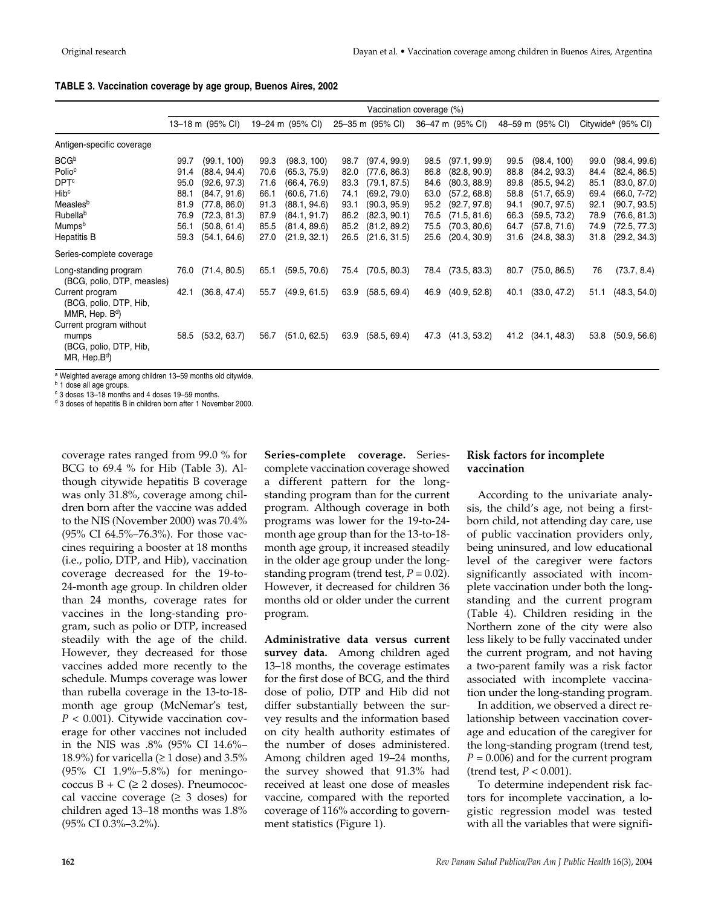|                                                                                                                                                           | Vaccination coverage (%)                                     |                                                                                                                             |                                                              |                                                                                                                             |                                                              |                                                                                                                              |                                                              |                                                                                                                              |                                                              |                                                                                                                             |                                                              |                                                                                                                                |
|-----------------------------------------------------------------------------------------------------------------------------------------------------------|--------------------------------------------------------------|-----------------------------------------------------------------------------------------------------------------------------|--------------------------------------------------------------|-----------------------------------------------------------------------------------------------------------------------------|--------------------------------------------------------------|------------------------------------------------------------------------------------------------------------------------------|--------------------------------------------------------------|------------------------------------------------------------------------------------------------------------------------------|--------------------------------------------------------------|-----------------------------------------------------------------------------------------------------------------------------|--------------------------------------------------------------|--------------------------------------------------------------------------------------------------------------------------------|
|                                                                                                                                                           |                                                              | 13-18 m (95% CI)                                                                                                            |                                                              | 19-24 m (95% CI)                                                                                                            |                                                              | 25-35 m (95% CI)                                                                                                             |                                                              | 36-47 m (95% CI)                                                                                                             |                                                              | 48-59 m (95% CI)                                                                                                            |                                                              | Citywide <sup>a</sup> (95% CI)                                                                                                 |
| Antigen-specific coverage                                                                                                                                 |                                                              |                                                                                                                             |                                                              |                                                                                                                             |                                                              |                                                                                                                              |                                                              |                                                                                                                              |                                                              |                                                                                                                             |                                                              |                                                                                                                                |
| <b>BCG</b> b<br>Polio <sup>c</sup><br><b>DPT<sup>c</sup></b><br>Hib <sup>c</sup><br>Measlesb<br>Rubella <sup>b</sup><br>Mumpsb<br><b>Hepatitis B</b>      | 99.7<br>91.4<br>95.0<br>88.1<br>81.9<br>76.9<br>56.1<br>59.3 | (99.1, 100)<br>(88.4, 94.4)<br>(92.6, 97.3)<br>(84.7, 91.6)<br>(77.8, 86.0)<br>(72.3, 81.3)<br>(50.8, 61.4)<br>(54.1, 64.6) | 99.3<br>70.6<br>71.6<br>66.1<br>91.3<br>87.9<br>85.5<br>27.0 | (98.3, 100)<br>(65.3, 75.9)<br>(66.4, 76.9)<br>(60.6, 71.6)<br>(88.1, 94.6)<br>(84.1, 91.7)<br>(81.4, 89.6)<br>(21.9, 32.1) | 98.7<br>82.0<br>83.3<br>74.1<br>93.1<br>86.2<br>85.2<br>26.5 | (97.4, 99.9)<br>(77.6, 86.3)<br>(79.1, 87.5)<br>(69.2, 79.0)<br>(90.3, 95.9)<br>(82.3, 90.1)<br>(81.2, 89.2)<br>(21.6, 31.5) | 98.5<br>86.8<br>84.6<br>63.0<br>95.2<br>76.5<br>75.5<br>25.6 | (97.1, 99.9)<br>(82.8, 90.9)<br>(80.3, 88.9)<br>(57.2, 68.8)<br>(92.7, 97.8)<br>(71.5, 81.6)<br>(70.3, 80.6)<br>(20.4, 30.9) | 99.5<br>88.8<br>89.8<br>58.8<br>94.1<br>66.3<br>64.7<br>31.6 | (98.4, 100)<br>(84.2, 93.3)<br>(85.5, 94.2)<br>(51.7, 65.9)<br>(90.7, 97.5)<br>(59.5, 73.2)<br>(57.8, 71.6)<br>(24.8, 38.3) | 99.0<br>84.4<br>85.1<br>69.4<br>92.1<br>78.9<br>74.9<br>31.8 | (98.4, 99.6)<br>(82.4, 86.5)<br>(83.0, 87.0)<br>$(66.0, 7-72)$<br>(90.7, 93.5)<br>(76.6, 81.3)<br>(72.5, 77.3)<br>(29.2, 34.3) |
| Series-complete coverage                                                                                                                                  |                                                              |                                                                                                                             |                                                              |                                                                                                                             |                                                              |                                                                                                                              |                                                              |                                                                                                                              |                                                              |                                                                                                                             |                                                              |                                                                                                                                |
| Long-standing program<br>(BCG, polio, DTP, measles)<br>Current program<br>(BCG, polio, DTP, Hib,<br>MMR, Hep. B <sup>d</sup> )<br>Current program without | 76.0<br>42.1                                                 | (71.4, 80.5)<br>(36.8, 47.4)                                                                                                | 65.1<br>55.7                                                 | (59.5, 70.6)<br>(49.9, 61.5)                                                                                                | 75.4<br>63.9                                                 | (70.5, 80.3)<br>(58.5, 69.4)                                                                                                 | 78.4<br>46.9                                                 | (73.5, 83.3)<br>(40.9, 52.8)                                                                                                 | 80.7<br>40.1                                                 | (75.0, 86.5)<br>(33.0, 47.2)                                                                                                | 76<br>51.1                                                   | (73.7, 8.4)<br>(48.3, 54.0)                                                                                                    |
| mumps<br>(BCG, polio, DTP, Hib,<br>$MR$ , Hep. $Bd$ )                                                                                                     | 58.5                                                         | (53.2, 63.7)                                                                                                                | 56.7                                                         | (51.0, 62.5)                                                                                                                | 63.9                                                         | (58.5, 69.4)                                                                                                                 | 47.3                                                         | (41.3, 53.2)                                                                                                                 | 41.2                                                         | (34.1, 48.3)                                                                                                                | 53.8                                                         | (50.9, 56.6)                                                                                                                   |

<sup>a</sup> Weighted average among children 13–59 months old citywide.

**b** 1 dose all age groups.

<sup>c</sup> 3 doses 13–18 months and 4 doses 19–59 months.

d 3 doses of hepatitis B in children born after 1 November 2000.

coverage rates ranged from 99.0 % for BCG to 69.4 % for Hib (Table 3). Although citywide hepatitis B coverage was only 31.8%, coverage among children born after the vaccine was added to the NIS (November 2000) was 70.4% (95% CI 64.5%–76.3%). For those vaccines requiring a booster at 18 months (i.e., polio, DTP, and Hib), vaccination coverage decreased for the 19-to-24-month age group. In children older than 24 months, coverage rates for vaccines in the long-standing program, such as polio or DTP, increased steadily with the age of the child. However, they decreased for those vaccines added more recently to the schedule. Mumps coverage was lower than rubella coverage in the 13-to-18 month age group (McNemar's test, *P* < 0.001). Citywide vaccination coverage for other vaccines not included in the NIS was .8% (95% CI 14.6%– 18.9%) for varicella ( $\geq 1$  dose) and 3.5% (95% CI 1.9%–5.8%) for meningococcus  $B + C \geq 2$  doses). Pneumococcal vaccine coverage  $(≥ 3$  doses) for children aged 13–18 months was 1.8% (95% CI 0.3%–3.2%).

**Series-complete coverage.** Seriescomplete vaccination coverage showed a different pattern for the longstanding program than for the current program. Although coverage in both programs was lower for the 19-to-24 month age group than for the 13-to-18 month age group, it increased steadily in the older age group under the longstanding program (trend test,  $P = 0.02$ ). However, it decreased for children 36 months old or older under the current program.

**Administrative data versus current survey data.** Among children aged 13–18 months, the coverage estimates for the first dose of BCG, and the third dose of polio, DTP and Hib did not differ substantially between the survey results and the information based on city health authority estimates of the number of doses administered. Among children aged 19–24 months, the survey showed that 91.3% had received at least one dose of measles vaccine, compared with the reported coverage of 116% according to government statistics (Figure 1).

### **Risk factors for incomplete vaccination**

According to the univariate analysis, the child's age, not being a firstborn child, not attending day care, use of public vaccination providers only, being uninsured, and low educational level of the caregiver were factors significantly associated with incomplete vaccination under both the longstanding and the current program (Table 4). Children residing in the Northern zone of the city were also less likely to be fully vaccinated under the current program, and not having a two-parent family was a risk factor associated with incomplete vaccination under the long-standing program.

In addition, we observed a direct relationship between vaccination coverage and education of the caregiver for the long-standing program (trend test,  $P = 0.006$ ) and for the current program (trend test, *P* < 0.001).

To determine independent risk factors for incomplete vaccination, a logistic regression model was tested with all the variables that were signifi-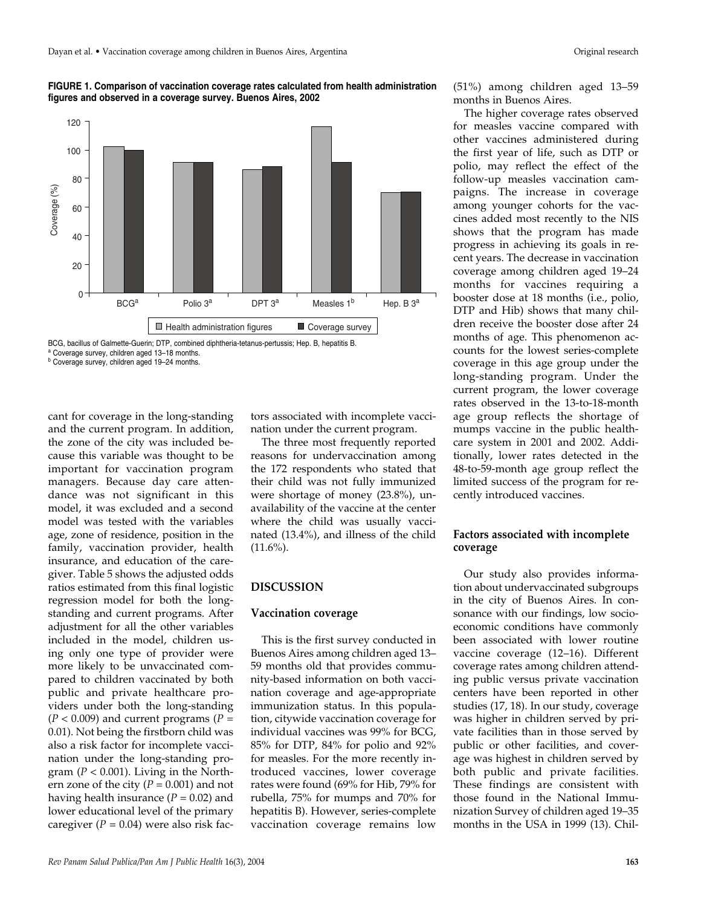**FIGURE 1. Comparison of vaccination coverage rates calculated from health administration figures and observed in a coverage survey. Buenos Aires, 2002**



BCG, bacillus of Galmette-Guerin; DTP, combined diphtheria-tetanus-pertussis; Hep. B, hepatitis B. <sup>a</sup> Coverage survey, children aged 13–18 months.

cant for coverage in the long-standing and the current program. In addition, the zone of the city was included because this variable was thought to be important for vaccination program managers. Because day care attendance was not significant in this model, it was excluded and a second model was tested with the variables age, zone of residence, position in the family, vaccination provider, health insurance, and education of the caregiver. Table 5 shows the adjusted odds ratios estimated from this final logistic regression model for both the longstanding and current programs. After adjustment for all the other variables included in the model, children using only one type of provider were more likely to be unvaccinated compared to children vaccinated by both public and private healthcare providers under both the long-standing  $(P < 0.009)$  and current programs  $(P =$ 0.01). Not being the firstborn child was also a risk factor for incomplete vaccination under the long-standing program ( $P < 0.001$ ). Living in the Northern zone of the city  $(P = 0.001)$  and not having health insurance (*P* = 0.02) and lower educational level of the primary caregiver  $(P = 0.04)$  were also risk fac-

tors associated with incomplete vaccination under the current program.

The three most frequently reported reasons for undervaccination among the 172 respondents who stated that their child was not fully immunized were shortage of money (23.8%), unavailability of the vaccine at the center where the child was usually vaccinated (13.4%), and illness of the child  $(11.6\%)$ .

## **DISCUSSION**

#### **Vaccination coverage**

This is the first survey conducted in Buenos Aires among children aged 13– 59 months old that provides community-based information on both vaccination coverage and age-appropriate immunization status. In this population, citywide vaccination coverage for individual vaccines was 99% for BCG, 85% for DTP, 84% for polio and 92% for measles. For the more recently introduced vaccines, lower coverage rates were found (69% for Hib, 79% for rubella, 75% for mumps and 70% for hepatitis B). However, series-complete vaccination coverage remains low

(51%) among children aged 13–59 months in Buenos Aires.

The higher coverage rates observed for measles vaccine compared with other vaccines administered during the first year of life, such as DTP or polio, may reflect the effect of the follow-up measles vaccination campaigns. The increase in coverage among younger cohorts for the vaccines added most recently to the NIS shows that the program has made progress in achieving its goals in recent years. The decrease in vaccination coverage among children aged 19–24 months for vaccines requiring a booster dose at 18 months (i.e., polio, DTP and Hib) shows that many children receive the booster dose after 24 months of age. This phenomenon accounts for the lowest series-complete coverage in this age group under the long-standing program. Under the current program, the lower coverage rates observed in the 13-to-18-month age group reflects the shortage of mumps vaccine in the public healthcare system in 2001 and 2002. Additionally, lower rates detected in the 48-to-59-month age group reflect the limited success of the program for recently introduced vaccines.

## **Factors associated with incomplete coverage**

Our study also provides information about undervaccinated subgroups in the city of Buenos Aires. In consonance with our findings, low socioeconomic conditions have commonly been associated with lower routine vaccine coverage (12–16). Different coverage rates among children attending public versus private vaccination centers have been reported in other studies (17, 18). In our study, coverage was higher in children served by private facilities than in those served by public or other facilities, and coverage was highest in children served by both public and private facilities. These findings are consistent with those found in the National Immunization Survey of children aged 19–35 months in the USA in 1999 (13). Chil-

<sup>b</sup> Coverage survey, children aged 19–24 months.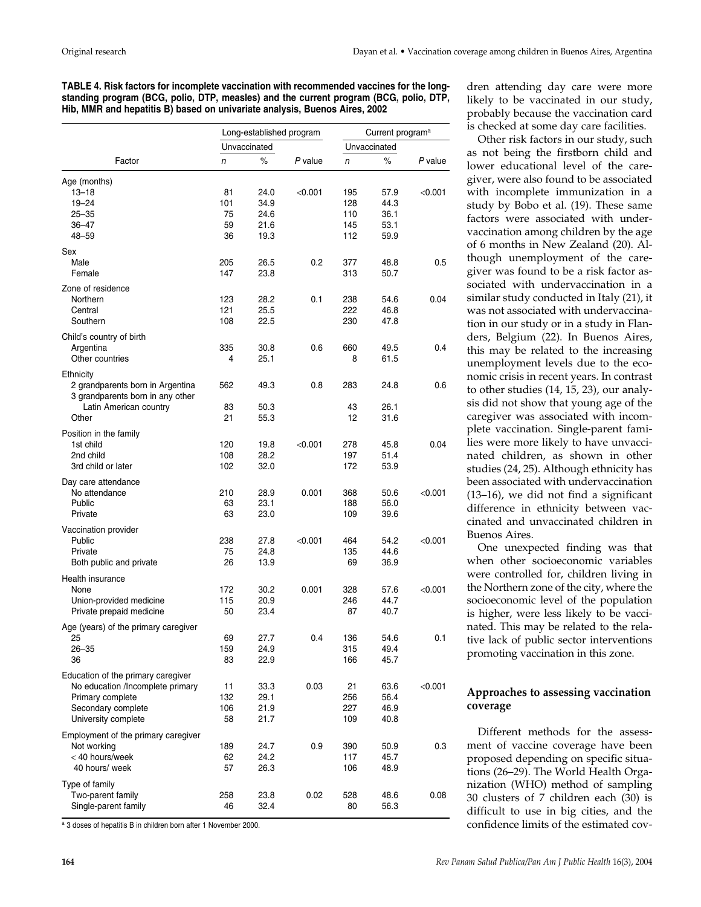**TABLE 4. Risk factors for incomplete vaccination with recommended vaccines for the longstanding program (BCG, polio, DTP, measles) and the current program (BCG, polio, DTP, Hib, MMR and hepatitis B) based on univariate analysis, Buenos Aires, 2002**

|                                      | Long-established program |              |         | Current program <sup>a</sup> |      |         |  |
|--------------------------------------|--------------------------|--------------|---------|------------------------------|------|---------|--|
|                                      |                          | Unvaccinated |         | Unvaccinated                 |      |         |  |
| Factor                               | n                        | $\%$         | P value | n                            | $\%$ | P value |  |
| Age (months)                         |                          |              |         |                              |      |         |  |
| $13 - 18$                            | 81                       | 24.0         | < 0.001 | 195                          | 57.9 | < 0.001 |  |
| $19 - 24$                            | 101                      | 34.9         |         | 128                          | 44.3 |         |  |
|                                      |                          |              |         |                              |      |         |  |
| $25 - 35$                            | 75                       | 24.6         |         | 110                          | 36.1 |         |  |
| 36–47                                | 59                       | 21.6         |         | 145                          | 53.1 |         |  |
| 48-59                                | 36                       | 19.3         |         | 112                          | 59.9 |         |  |
| Sex                                  |                          |              |         |                              |      |         |  |
| Male                                 | 205                      | 26.5         | 0.2     | 377                          | 48.8 | 0.5     |  |
| Female                               | 147                      | 23.8         |         | 313                          | 50.7 |         |  |
| Zone of residence                    |                          |              |         |                              |      |         |  |
| Northern                             | 123                      | 28.2         | 0.1     | 238                          | 54.6 | 0.04    |  |
| Central                              | 121                      | 25.5         |         | 222                          | 46.8 |         |  |
| Southern                             | 108                      | 22.5         |         | 230                          | 47.8 |         |  |
| Child's country of birth             |                          |              |         |                              |      |         |  |
| Argentina                            | 335                      | 30.8         | 0.6     | 660                          | 49.5 | 0.4     |  |
| Other countries                      | 4                        | 25.1         |         | 8                            | 61.5 |         |  |
| Ethnicity                            |                          |              |         |                              |      |         |  |
| 2 grandparents born in Argentina     | 562                      | 49.3         | 0.8     | 283                          | 24.8 | 0.6     |  |
| 3 grandparents born in any other     |                          |              |         |                              |      |         |  |
| Latin American country               | 83                       | 50.3         |         | 43                           | 26.1 |         |  |
| Other                                | 21                       | 55.3         |         | 12                           | 31.6 |         |  |
| Position in the family               |                          |              |         |                              |      |         |  |
| 1st child                            | 120                      | 19.8         | < 0.001 | 278                          | 45.8 | 0.04    |  |
| 2nd child                            | 108                      | 28.2         |         | 197                          | 51.4 |         |  |
| 3rd child or later                   | 102                      | 32.0         |         | 172                          | 53.9 |         |  |
| Day care attendance                  |                          |              |         |                              |      |         |  |
| No attendance                        | 210                      | 28.9         | 0.001   | 368                          | 50.6 | < 0.001 |  |
| Public                               | 63                       | 23.1         |         | 188                          | 56.0 |         |  |
| Private                              | 63                       | 23.0         |         | 109                          | 39.6 |         |  |
| Vaccination provider                 |                          |              |         |                              |      |         |  |
| Public                               | 238                      | 27.8         | < 0.001 | 464                          | 54.2 | < 0.001 |  |
| Private                              | 75                       | 24.8         |         | 135                          | 44.6 |         |  |
| Both public and private              | 26                       | 13.9         |         | 69                           | 36.9 |         |  |
|                                      |                          |              |         |                              |      |         |  |
| Health insurance<br>None             |                          |              |         |                              |      |         |  |
|                                      | 172                      | 30.2         | 0.001   | 328                          | 57.6 | < 0.001 |  |
| Union-provided medicine              | 115                      | 20.9         |         | 246                          | 44.7 |         |  |
| Private prepaid medicine             | 50                       | 23.4         |         | 87                           | 40.7 |         |  |
| Age (years) of the primary caregiver |                          |              |         |                              |      |         |  |
| 25                                   | 69                       | 27.7         | 0.4     | 136                          | 54.6 | 0.1     |  |
| $26 - 35$                            | 159                      | 24.9         |         | 315                          | 49.4 |         |  |
| 36                                   | 83                       | 22.9         |         | 166                          | 45.7 |         |  |
| Education of the primary caregiver   |                          |              |         |                              |      |         |  |
| No education /Incomplete primary     | 11                       | 33.3         | 0.03    | 21                           | 63.6 | < 0.001 |  |
| Primary complete                     | 132                      | 29.1         |         | 256                          | 56.4 |         |  |
| Secondary complete                   | 106                      | 21.9         |         | 227                          | 46.9 |         |  |
| University complete                  | 58                       | 21.7         |         | 109                          | 40.8 |         |  |
| Employment of the primary caregiver  |                          |              |         |                              |      |         |  |
| Not working                          | 189                      | 24.7         | 0.9     | 390                          | 50.9 | 0.3     |  |
| < 40 hours/week                      | 62                       | 24.2         |         | 117                          | 45.7 |         |  |
| 40 hours/ week                       | 57                       | 26.3         |         | 106                          | 48.9 |         |  |
| Type of family                       |                          |              |         |                              |      |         |  |
| Two-parent family                    | 258                      | 23.8         | 0.02    | 528                          | 48.6 | 0.08    |  |
| Single-parent family                 | 46                       | 32.4         |         | 80                           | 56.3 |         |  |

a 3 doses of hepatitis B in children born after 1 November 2000.

dren attending day care were more likely to be vaccinated in our study, probably because the vaccination card is checked at some day care facilities.

Other risk factors in our study, such as not being the firstborn child and lower educational level of the caregiver, were also found to be associated with incomplete immunization in a study by Bobo et al. (19). These same factors were associated with undervaccination among children by the age of 6 months in New Zealand (20). Although unemployment of the caregiver was found to be a risk factor associated with undervaccination in a similar study conducted in Italy (21), it was not associated with undervaccination in our study or in a study in Flanders, Belgium (22). In Buenos Aires, this may be related to the increasing unemployment levels due to the economic crisis in recent years. In contrast to other studies (14, 15, 23), our analysis did not show that young age of the caregiver was associated with incomplete vaccination. Single-parent families were more likely to have unvaccinated children, as shown in other studies (24, 25). Although ethnicity has been associated with undervaccination (13–16), we did not find a significant difference in ethnicity between vaccinated and unvaccinated children in Buenos Aires.

One unexpected finding was that when other socioeconomic variables were controlled for, children living in the Northern zone of the city, where the socioeconomic level of the population is higher, were less likely to be vaccinated. This may be related to the relative lack of public sector interventions promoting vaccination in this zone.

# **Approaches to assessing vaccination coverage**

Different methods for the assessment of vaccine coverage have been proposed depending on specific situations (26–29). The World Health Organization (WHO) method of sampling 30 clusters of 7 children each (30) is difficult to use in big cities, and the confidence limits of the estimated cov-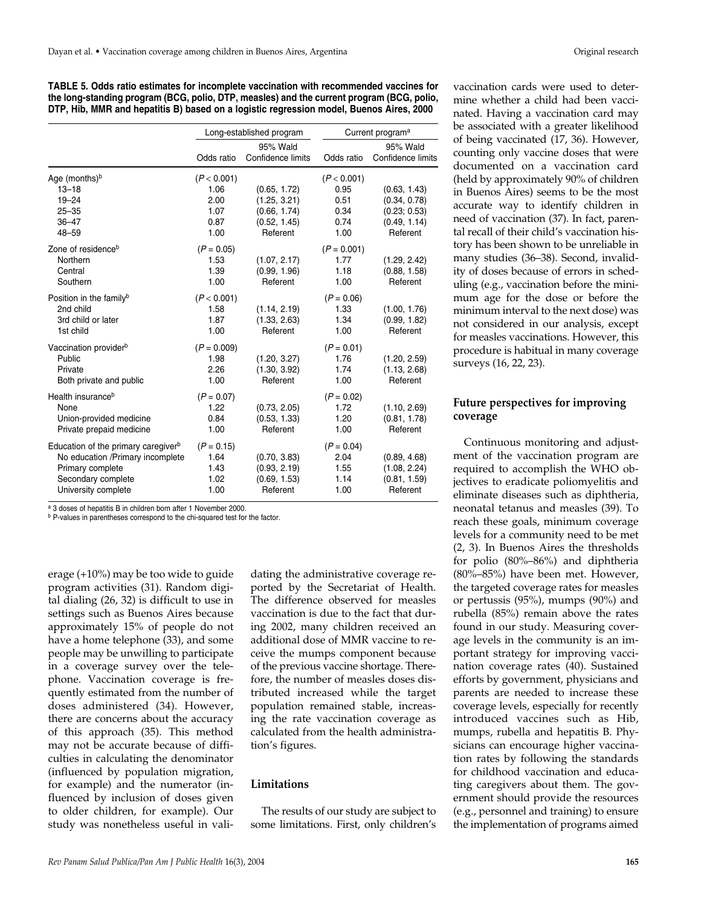| TABLE 5. Odds ratio estimates for incomplete vaccination with recommended vaccines for    |  |
|-------------------------------------------------------------------------------------------|--|
| the long-standing program (BCG, polio, DTP, measles) and the current program (BCG, polio, |  |
| DTP, Hib, MMR and hepatitis B) based on a logistic regression model, Buenos Aires, 2000   |  |

|                                                                                                                                                      |                                                     | Long-established program                                                 | Current program <sup>a</sup>                        |                                                                          |  |  |
|------------------------------------------------------------------------------------------------------------------------------------------------------|-----------------------------------------------------|--------------------------------------------------------------------------|-----------------------------------------------------|--------------------------------------------------------------------------|--|--|
|                                                                                                                                                      | Odds ratio                                          | 95% Wald<br>Confidence limits                                            | Odds ratio                                          | 95% Wald<br>Confidence limits                                            |  |  |
| Age (months) $b$<br>$13 - 18$<br>$19 - 24$<br>$25 - 35$<br>$36 - 47$<br>$48 - 59$                                                                    | (P < 0.001)<br>1.06<br>2.00<br>1.07<br>0.87<br>1.00 | (0.65, 1.72)<br>(1.25, 3.21)<br>(0.66, 1.74)<br>(0.52, 1.45)<br>Referent | (P < 0.001)<br>0.95<br>0.51<br>0.34<br>0.74<br>1.00 | (0.63, 1.43)<br>(0.34, 0.78)<br>(0.23; 0.53)<br>(0.49, 1.14)<br>Referent |  |  |
| Zone of residence <sup>b</sup><br>Northern<br>Central<br>Southern                                                                                    | $(P = 0.05)$<br>1.53<br>1.39<br>1.00                | (1.07, 2.17)<br>(0.99, 1.96)<br>Referent                                 | $(P = 0.001)$<br>1.77<br>1.18<br>1.00               | (1.29, 2.42)<br>(0.88, 1.58)<br>Referent                                 |  |  |
| Position in the familyb<br>2nd child<br>3rd child or later<br>1st child                                                                              | (P < 0.001)<br>1.58<br>1.87<br>1.00                 | (1.14, 2.19)<br>(1.33, 2.63)<br>Referent                                 | $(P = 0.06)$<br>1.33<br>1.34<br>1.00                | (1.00, 1.76)<br>(0.99, 1.82)<br>Referent                                 |  |  |
| Vaccination provider <sup>b</sup><br>Public<br>Private<br>Both private and public                                                                    | $(P = 0.009)$<br>1.98<br>2.26<br>1.00               | (1.20, 3.27)<br>(1.30, 3.92)<br>Referent                                 | $(P = 0.01)$<br>1.76<br>1.74<br>1.00                | (1.20, 2.59)<br>(1.13, 2.68)<br>Referent                                 |  |  |
| Health insurance <sup>b</sup><br>None<br>Union-provided medicine<br>Private prepaid medicine                                                         | $(P = 0.07)$<br>1.22<br>0.84<br>1.00                | (0.73, 2.05)<br>(0.53, 1.33)<br>Referent                                 | $(P = 0.02)$<br>1.72<br>1.20<br>1.00                | (1.10, 2.69)<br>(0.81, 1.78)<br>Referent                                 |  |  |
| Education of the primary caregiver <sup>b</sup><br>No education /Primary incomplete<br>Primary complete<br>Secondary complete<br>University complete | $(P = 0.15)$<br>1.64<br>1.43<br>1.02<br>1.00        | (0.70, 3.83)<br>(0.93, 2.19)<br>(0.69, 1.53)<br>Referent                 | $(P = 0.04)$<br>2.04<br>1.55<br>1.14<br>1.00        | (0.89, 4.68)<br>(1.08, 2.24)<br>(0.81, 1.59)<br>Referent                 |  |  |

<sup>a</sup> 3 doses of hepatitis B in children born after 1 November 2000.

b P-values in parentheses correspond to the chi-squared test for the factor.

erage (+10%) may be too wide to guide program activities (31). Random digital dialing (26, 32) is difficult to use in settings such as Buenos Aires because approximately 15% of people do not have a home telephone (33), and some people may be unwilling to participate in a coverage survey over the telephone. Vaccination coverage is frequently estimated from the number of doses administered (34). However, there are concerns about the accuracy of this approach (35). This method may not be accurate because of difficulties in calculating the denominator (influenced by population migration, for example) and the numerator (influenced by inclusion of doses given to older children, for example). Our study was nonetheless useful in validating the administrative coverage reported by the Secretariat of Health. The difference observed for measles vaccination is due to the fact that during 2002, many children received an additional dose of MMR vaccine to receive the mumps component because of the previous vaccine shortage. Therefore, the number of measles doses distributed increased while the target population remained stable, increasing the rate vaccination coverage as calculated from the health administration's figures.

### **Limitations**

The results of our study are subject to some limitations. First, only children's vaccination cards were used to determine whether a child had been vaccinated. Having a vaccination card may be associated with a greater likelihood of being vaccinated (17, 36). However, counting only vaccine doses that were documented on a vaccination card (held by approximately 90% of children in Buenos Aires) seems to be the most accurate way to identify children in need of vaccination (37). In fact, parental recall of their child's vaccination history has been shown to be unreliable in many studies (36–38). Second, invalidity of doses because of errors in scheduling (e.g., vaccination before the minimum age for the dose or before the minimum interval to the next dose) was not considered in our analysis, except for measles vaccinations. However, this procedure is habitual in many coverage surveys (16, 22, 23).

# **Future perspectives for improving coverage**

Continuous monitoring and adjustment of the vaccination program are required to accomplish the WHO objectives to eradicate poliomyelitis and eliminate diseases such as diphtheria, neonatal tetanus and measles (39). To reach these goals, minimum coverage levels for a community need to be met (2, 3). In Buenos Aires the thresholds for polio (80%–86%) and diphtheria (80%–85%) have been met. However, the targeted coverage rates for measles or pertussis (95%), mumps (90%) and rubella (85%) remain above the rates found in our study. Measuring coverage levels in the community is an important strategy for improving vaccination coverage rates (40). Sustained efforts by government, physicians and parents are needed to increase these coverage levels, especially for recently introduced vaccines such as Hib, mumps, rubella and hepatitis B. Physicians can encourage higher vaccination rates by following the standards for childhood vaccination and educating caregivers about them. The government should provide the resources (e.g., personnel and training) to ensure the implementation of programs aimed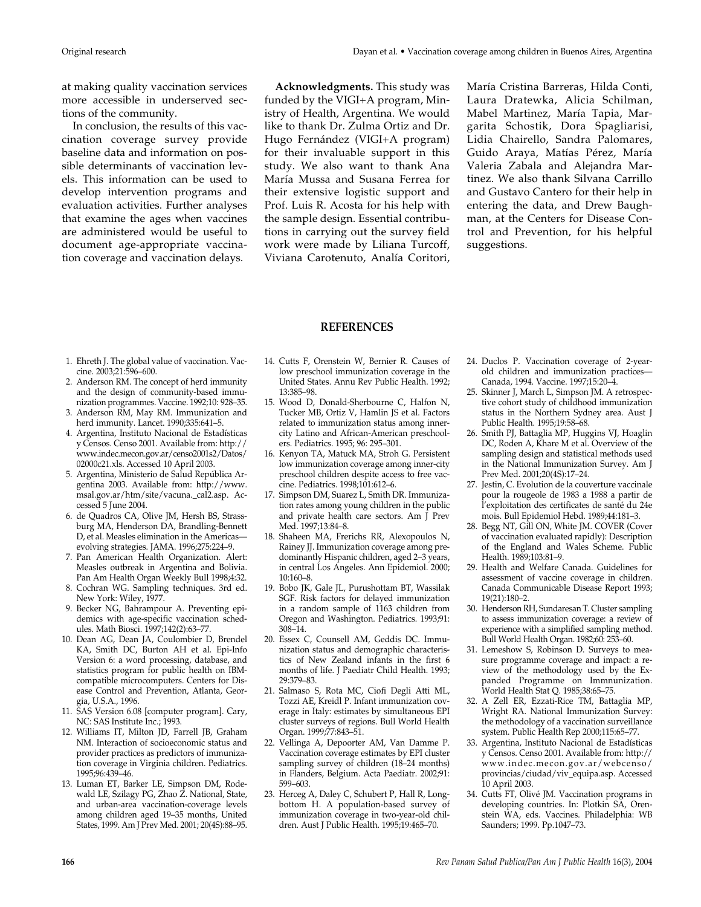at making quality vaccination services more accessible in underserved sections of the community.

In conclusion, the results of this vaccination coverage survey provide baseline data and information on possible determinants of vaccination levels. This information can be used to develop intervention programs and evaluation activities. Further analyses that examine the ages when vaccines are administered would be useful to document age-appropriate vaccination coverage and vaccination delays.

**Acknowledgments.** This study was funded by the VIGI+A program, Ministry of Health, Argentina. We would like to thank Dr. Zulma Ortiz and Dr. Hugo Fernández (VIGI+A program) for their invaluable support in this study. We also want to thank Ana María Mussa and Susana Ferrea for their extensive logistic support and Prof. Luis R. Acosta for his help with the sample design. Essential contributions in carrying out the survey field work were made by Liliana Turcoff, Viviana Carotenuto, Analía Coritori,

María Cristina Barreras, Hilda Conti, Laura Dratewka, Alicia Schilman, Mabel Martinez, María Tapia, Margarita Schostik, Dora Spagliarisi, Lidia Chairello, Sandra Palomares, Guido Araya, Matías Pérez, María Valeria Zabala and Alejandra Martinez. We also thank Silvana Carrillo and Gustavo Cantero for their help in entering the data, and Drew Baughman, at the Centers for Disease Control and Prevention, for his helpful suggestions.

#### **REFERENCES**

- 1. Ehreth J. The global value of vaccination. Vaccine. 2003;21:596–600.
- 2. Anderson RM. The concept of herd immunity and the design of community-based immunization programmes. Vaccine. 1992;10: 928–35.
- 3. Anderson RM, May RM. Immunization and herd immunity. Lancet. 1990;335:641–5.
- 4. Argentina, Instituto Nacional de Estadísticas y Censos. Censo 2001. Available from: http:// www.indec.mecon.gov.ar/censo2001s2/Datos/ 02000c21.xls. Accessed 10 April 2003.
- 5. Argentina, Ministerio de Salud República Argentina 2003. Available from: http://www. msal.gov.ar/htm/site/vacuna.\_cal2.asp. Accessed 5 June 2004.
- 6. de Quadros CA, Olive JM, Hersh BS, Strassburg MA, Henderson DA, Brandling-Bennett D, et al. Measles elimination in the Americas evolving strategies. JAMA. 1996;275:224–9.
- 7. Pan American Health Organization. Alert: Measles outbreak in Argentina and Bolivia. Pan Am Health Organ Weekly Bull 1998;4:32.
- 8. Cochran WG. Sampling techniques. 3rd ed. New York: Wiley, 1977.
- 9. Becker NG, Bahrampour A. Preventing epidemics with age-specific vaccination schedules. Math Biosci. 1997;142(2):63–77.
- 10. Dean AG, Dean JA, Coulombier D, Brendel KA, Smith DC, Burton AH et al. Epi-Info Version 6: a word processing, database, and statistics program for public health on IBMcompatible microcomputers. Centers for Disease Control and Prevention, Atlanta, Georgia, U.S.A., 1996.
- 11. SAS Version 6.08 [computer program]. Cary, NC: SAS Institute Inc.; 1993.
- 12. Williams IT, Milton JD, Farrell JB, Graham NM. Interaction of socioeconomic status and provider practices as predictors of immunization coverage in Virginia children. Pediatrics. 1995;96:439–46.
- 13. Luman ET, Barker LE, Simpson DM, Rodewald LE, Szilagy PG, Zhao Z. National, State, and urban-area vaccination-coverage levels among children aged 19–35 months, United States, 1999. Am J Prev Med. 2001; 20(4S):88–95.
- 14. Cutts F, Orenstein W, Bernier R. Causes of low preschool immunization coverage in the United States. Annu Rev Public Health. 1992; 13:385–98.
- 15. Wood D, Donald-Sherbourne C, Halfon N, Tucker MB, Ortiz V, Hamlin JS et al. Factors related to immunization status among innercity Latino and African-American preschoolers. Pediatrics. 1995; 96: 295–301.
- 16. Kenyon TA, Matuck MA, Stroh G. Persistent low immunization coverage among inner-city preschool children despite access to free vaccine. Pediatrics. 1998;101:612–6.
- 17. Simpson DM, Suarez L, Smith DR. Immunization rates among young children in the public and private health care sectors. Am J Prev Med. 1997;13:84–8.
- 18. Shaheen MA, Frerichs RR, Alexopoulos N, Rainey JJ. Immunization coverage among predominantly Hispanic children, aged 2–3 years, in central Los Angeles. Ann Epidemiol. 2000; 10:160–8.
- 19. Bobo JK, Gale JL, Purushottam BT, Wassilak SGF. Risk factors for delayed immunization in a random sample of 1163 children from Oregon and Washington. Pediatrics. 1993;91: 308–14.
- 20. Essex C, Counsell AM, Geddis DC. Immunization status and demographic characteristics of New Zealand infants in the first 6 months of life. J Paediatr Child Health. 1993; 29:379–83.
- 21. Salmaso S, Rota MC, Ciofi Degli Atti ML, Tozzi AE, Kreidl P. Infant immunization coverage in Italy: estimates by simultaneous EPI cluster surveys of regions. Bull World Health Organ. 1999;77:843–51.
- 22. Vellinga A, Depoorter AM, Van Damme P. Vaccination coverage estimates by EPI cluster sampling survey of children (18–24 months) in Flanders, Belgium. Acta Paediatr. 2002;91: 599–603.
- 23. Herceg A, Daley C, Schubert P, Hall R, Longbottom H. A population-based survey of immunization coverage in two-year-old children. Aust J Public Health. 1995;19:465–70.
- 24. Duclos P. Vaccination coverage of 2-yearold children and immunization practices— Canada, 1994. Vaccine. 1997;15:20–4.
- 25. Skinner J, March L, Simpson JM. A retrospective cohort study of childhood immunization status in the Northern Sydney area. Aust J Public Health. 1995;19:58–68.
- 26. Smith PJ, Battaglia MP, Huggins VJ, Hoaglin DC, Roden A, Khare M et al. Overview of the sampling design and statistical methods used in the National Immunization Survey. Am J Prev Med. 2001;20(4S):17–24.
- 27. Jestin, C. Evolution de la couverture vaccinale pour la rougeole de 1983 a 1988 a partir de l'exploitation des certificates de santé du 24e mois. Bull Epidemiol Hebd. 1989;44:181–3.
- 28. Begg NT, Gill ON, White JM. COVER (Cover of vaccination evaluated rapidly): Description of the England and Wales Scheme. Public Health. 1989;103:81–9.
- 29. Health and Welfare Canada. Guidelines for assessment of vaccine coverage in children. Canada Communicable Disease Report 1993; 19(21):180–2.
- 30. Henderson RH, Sundaresan T. Cluster sampling to assess immunization coverage: a review of experience with a simplified sampling method. Bull World Health Organ. 1982;60: 253–60.
- 31. Lemeshow S, Robinson D. Surveys to measure programme coverage and impact: a review of the methodology used by the Expanded Programme on Immnunization. World Health Stat Q. 1985;38:65–75.
- 32. A Zell ER, Ezzati-Rice TM, Battaglia MP, Wright RA. National Immunization Survey: the methodology of a vaccination surveillance system. Public Health Rep 2000;115:65–77.
- 33. Argentina, Instituto Nacional de Estadísticas y Censos. Censo 2001. Available from: http:// www.indec.mecon.gov.ar/webcenso/ provincias/ciudad/viv\_equipa.asp. Accessed 10 April 2003.
- 34. Cutts FT, Olivé JM. Vaccination programs in developing countries. In: Plotkin SA, Orenstein WA, eds. Vaccines. Philadelphia: WB Saunders; 1999. Pp.1047–73.